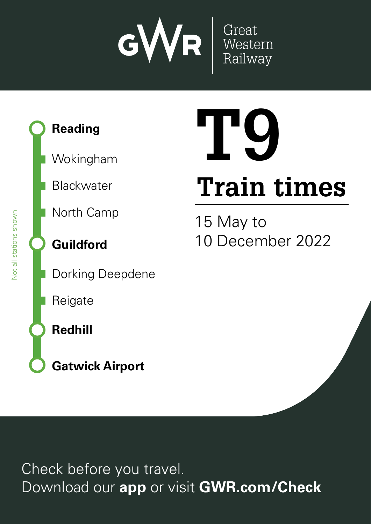

### **Reading**

Wokingham

Blackwater

North Camp

**Guildford**

Dorking Deepdene

Reigate

**Redhill**

**Gatwick Airport**

# **Train times T9**

15 May to 10 December 2022

Check before you travel. Download our **app** or visit **GWR.com/Check**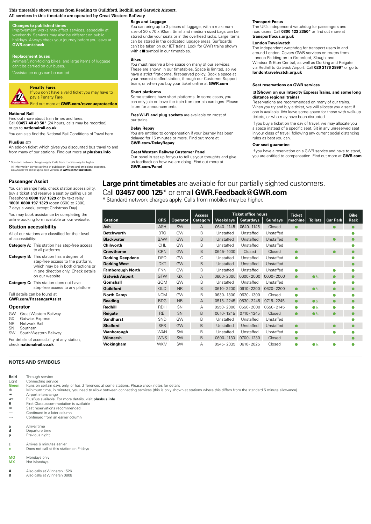#### **This timetable shows trains from Reading to Guildford, Redhill and Gatwick Airport. All services in this timetable are operated by Great Western Railway**

#### **Changes to published times**

Improvement works may affect services, especially at<br>weekends. Services may also be different on public<br>holidays. Always check your journey before you leave at **GWR.com/check** 

**03457 000 125\* GWR.Feedback@GWR.com GWR.com/contact** tra<br>Search<br>Search and news.<br>Candidate<br>at **Replacement buses**<br>Animals†, non-folding bikes, and large items of luggage<br>can't be carried on our buses. \*Assistance dogs can be carried.

## narces Polifip F animation mobiles may be higher. Calls from mobiles may be higher. The mobiles may be higher. A standard mobiles may be higher. A standard mobiles may be higher. A standard mobiles may be higher. A standar **Penalty Fares**

#### If you don't have a valid ticket you may have to pay a Penalty Fare

**GWR**Find out more at **GWR.com/revenueprotection**

#### **National Rail**

en<br>en<br>o Download our app to purchase the purchase time to purchase the purchase time to purchase the purchase time to purchase the check and check and checks and check and checks and checks and checks and checks and checks and che fa<br>s r<br>on biss out of the miss of the contract of the contract of the contract of the contract of the contract of the contract of the contract of the contract of the contract of the contract of the contract of the contract of the co **GWR**<br>M<br>Mal Find out more about train times and fares. Call **03457 48 49 50**\* (24 hours, calls may be recorded) or go to **nationalrail.co.uk**

#### You can also find the National Rail Conditions of Travel here.

**PlusBus** ¬ An add-on ticket which gives you discounted bus travel to and

from many of our stations. Find out more at **plusbus.info**

\* Standard network charges apply. Calls from mobiles may be higher All information correct at time of publication. Errors and omissions excepted. Download the most up-to-date version at **GWR.com/timetables**

#### **Passenger Assist**

You can arrange help, check station accessibility, buy a ticket and reserve a seat by calling us on Freephone **0800 197 1329** or by text relay **18001 0800 197 1329** (open 0600 to 2300, 7 days a week, except Christmas Day).

You may book assistance by completing the online booking form available on our website.

#### **Station accessibility**

| All of our stations are classified for their level<br>of accessibility:  |  |  |  |  |  |  |  |  |  |  |  |
|--------------------------------------------------------------------------|--|--|--|--|--|--|--|--|--|--|--|
| <b>Category A:</b> This station has step-free access<br>to all platforms |  |  |  |  |  |  |  |  |  |  |  |

| <b>Category B:</b> This station has a degree of | step-free access to the platform,<br>which may be in both directions or<br>in one direction only. Check details<br>on our website |
|-------------------------------------------------|-----------------------------------------------------------------------------------------------------------------------------------|
|                                                 | <b>Category C:</b> This station does not have                                                                                     |

step-free access to any platform

Full details can be found at **GWR.com/PassengerAssist**

#### **Operator**

| <b>GW</b> Great Western Railway |  |
|---------------------------------|--|

- GX Gatwick Express<br>NR Network Rail
- NR Network Rail<br>SN Southern

Southern

SW South Western Railway For details of accessibility at any station,

check **nationalrail.co.uk**

#### **NOTES AND SYMBOLS**

**Bold** Through service

### **Bags and Luggage**

You can bring up to 3 pieces of luggage, with a maximum size of 30 x 70 x 90cm. Small and medium sized bags can be stored under your seats or in the overhead racks. Large items can be stored in the dedicated luggage areas. Surfboards can't be taken on our IET trains. Look for GWR trains shown with a $\blacksquare$  symbol in our timetables.

#### **Bikes**

Yc<br>Tł<br>yc **More information**<br>Mort fist shell<br>**form**<br>Incompan You must reserve a bike space on many of our services. These are shown in our timetables. Space is limited, so we have a strict first-come, first-served policy. Book a space at<br>your nearest staffed station, through our Customer Support team, or when you buy your ticket online at **GWR.com**

#### **Short platforms**

#### **Delay Repay**

#### **Great Western Railway Customer Panel**

#### **Transport Focus**

The UK's independent watchdog for passengers and<br>road users. Call **0300 123 2350**\* or find out more at **transportfocus.org.uk**

#### **London Travelwatch**

ar<br>
LG<br>
Via<br> **D<br>
S<br>
El<br>
di**<br>
D ad<br>الكا<br>**av:<br>Pre** The independent watchdog for transport users in and around London. Covers GWR services on routes from London Paddington to Greenford, Slough, and Windsor & Eton Central, as well as Dorking and Reigate via Redhill to Gatwick Airport. Call **020 3176 2999**\* or go to **londontravelwatch.org.uk**

#### **Seat reservations on GWR services**

#### res<br>10 M<br>10 May 10 \$**(Shown on our Intercity Express Trains, and some long distance regional trains)**

at in<br>vall<br>you<br>sta<br>**R.** oo<br>**ng**<br>at part our visit our visit our visit and a visit of the composite that  $\theta$  is the composite that  $\theta$  is the contribution of the contribution of the contribution of the contribution of the contribution of the con  $\begin{array}{c} \n 1 \\
 1\n \end{array}$ ao<br>Dur<br>Ser<br>Durl bə<br>est<br>a na<br>etof<br>rav<br>u **c<br>er** ve<br>Sit<br>Ls If you buy a ticket on the day of travel, we may allocate you a space instead of a specific seat. Sit in any unreserved seat in your class of travel, following any current social distancing rules as best you can.

#### **Our seat guarantee**

#### **Large print timetables** are available for our partially sighted customers. Call **03457 000 125**\* or email **GWR.Feedback@GWR.com**

|                          | have a strict first-come, first-served policy. Book a space at<br>your nearest staffed station, through our Customer Support<br>team, or when you buy your ticket online at GWR.com       |                          |                |                           |                        |                                                                                                                             | <b>Seat reservations on GWR services</b>                                                                                                                     |                          |                |                 |                     |  |  |  |  |  |  |
|--------------------------|-------------------------------------------------------------------------------------------------------------------------------------------------------------------------------------------|--------------------------|----------------|---------------------------|------------------------|-----------------------------------------------------------------------------------------------------------------------------|--------------------------------------------------------------------------------------------------------------------------------------------------------------|--------------------------|----------------|-----------------|---------------------|--|--|--|--|--|--|
| ay have to               | <b>Short platforms</b><br>Some stations have short platforms. In some cases, you                                                                                                          |                          |                |                           |                        |                                                                                                                             | El (Shown on our Intercity Express Trains, and some long<br>distance regional trains)                                                                        |                          |                |                 |                     |  |  |  |  |  |  |
| eprotection              | can only join or leave the train from certain carriages. Please<br>listen for announcements.                                                                                              |                          |                |                           |                        |                                                                                                                             | Reservations are recommended on many of our trains.<br>When you try and buy a ticket, we will allocate you a seat if                                         |                          |                |                 |                     |  |  |  |  |  |  |
|                          | Free Wi-Fi and plug sockets are available on most of<br>our trains.                                                                                                                       |                          |                |                           |                        |                                                                                                                             | one is available. We leave some space for those with walk-up<br>tickets, or who may have been disrupted.                                                     |                          |                |                 |                     |  |  |  |  |  |  |
| orded)                   |                                                                                                                                                                                           |                          |                |                           |                        |                                                                                                                             | If you buy a ticket on the day of travel, we may allocate you                                                                                                |                          |                |                 |                     |  |  |  |  |  |  |
| ravel here.              | Delay Repay<br>You are entitled to compensation if your journey has been<br>delayed for 15 minutes or more. Find out more at<br><b>GWR.com/DelayRepay</b>                                 |                          |                |                           |                        |                                                                                                                             | a space instead of a specific seat. Sit in any unreserved seat<br>in your class of travel, following any current social distancing<br>rules as best you can. |                          |                |                 |                     |  |  |  |  |  |  |
| travel to and            |                                                                                                                                                                                           |                          |                |                           | Our seat guarantee     |                                                                                                                             |                                                                                                                                                              |                          |                |                 |                     |  |  |  |  |  |  |
| bus.info<br>xcepted.     | <b>Great Western Railway Customer Panel</b><br>Our panel is set up for you to tell us your thoughts and give<br>us feedback on how we are doing. Find out more at<br><b>GWR.com/Panel</b> |                          |                |                           |                        | If you have a reservation on a GWR service and have to stand,<br>you are entitled to compensation. Find out more at GWR.com |                                                                                                                                                              |                          |                |                 |                     |  |  |  |  |  |  |
| <b>Station</b>           |                                                                                                                                                                                           | <b>CRS</b>               | Operator       | <b>Access</b><br>Category | <b>Weekdays</b>        | <b>Ticket office hours</b><br><b>Saturdays</b>                                                                              | <b>Sundays</b>                                                                                                                                               | <b>Ticket</b><br>machine | <b>Toilets</b> | <b>Car Park</b> | <b>Bike</b><br>Rack |  |  |  |  |  |  |
| Ash                      |                                                                                                                                                                                           | <b>ASH</b>               | <b>SW</b>      | A                         | 0640-1145              | 0640-1145                                                                                                                   | Closed                                                                                                                                                       |                          |                |                 |                     |  |  |  |  |  |  |
| <b>Betchworth</b>        |                                                                                                                                                                                           | <b>BTO</b>               | GW             | B                         | Unstaffed              | Unstaffed                                                                                                                   | Unstaffed                                                                                                                                                    |                          |                |                 |                     |  |  |  |  |  |  |
| <b>Blackwater</b>        |                                                                                                                                                                                           | <b>BAW</b>               | GW             | B                         | Unstaffed              | Unstaffed                                                                                                                   | Unstaffed                                                                                                                                                    | $\bullet$                |                |                 |                     |  |  |  |  |  |  |
| Chilworth                |                                                                                                                                                                                           | <b>CHL</b>               | GW             | B                         | Unstaffed              | Unstaffed                                                                                                                   | Unstaffed                                                                                                                                                    |                          |                |                 |                     |  |  |  |  |  |  |
| Crowthorne               |                                                                                                                                                                                           | <b>CRN</b>               | GW             | B                         | 0645-1030              | Closed                                                                                                                      | Closed                                                                                                                                                       |                          |                |                 |                     |  |  |  |  |  |  |
| <b>Dorking Deepdene</b>  |                                                                                                                                                                                           | <b>DPD</b>               | GW             | C                         | Unstaffed              | Unstaffed                                                                                                                   | Unstaffed                                                                                                                                                    | ۰                        |                |                 |                     |  |  |  |  |  |  |
| <b>Dorking West</b>      |                                                                                                                                                                                           | <b>DKT</b>               | GW             | B                         | Unstaffed              | Unstaffed                                                                                                                   | Unstaffed                                                                                                                                                    |                          |                |                 |                     |  |  |  |  |  |  |
| <b>Farnborough North</b> |                                                                                                                                                                                           | <b>FNN</b>               | GW             | B                         | Unstaffed              | Unstaffed                                                                                                                   | Unstaffed                                                                                                                                                    |                          |                |                 |                     |  |  |  |  |  |  |
| <b>Gatwick Airport</b>   |                                                                                                                                                                                           | <b>GTW</b>               | GX             | $\overline{A}$            | 0600-2000              | 0600-2000                                                                                                                   | 0600-2000                                                                                                                                                    | $\bullet$                | ی              |                 |                     |  |  |  |  |  |  |
| Gomshall                 |                                                                                                                                                                                           | GOM                      | GW             | B                         | Unstaffed              | Unstaffed                                                                                                                   | Unstaffed                                                                                                                                                    |                          |                |                 |                     |  |  |  |  |  |  |
| <b>Guildford</b>         |                                                                                                                                                                                           | <b>GLD</b>               | N <sub>R</sub> | B                         | 0610-2200              | 0610-2200                                                                                                                   | 0620-2200                                                                                                                                                    |                          | $\bullet$      |                 |                     |  |  |  |  |  |  |
| <b>North Camp</b>        |                                                                                                                                                                                           | <b>NCM</b>               | GW             | B                         | 0630-1300              | 0630-1300                                                                                                                   | Closed                                                                                                                                                       |                          |                |                 |                     |  |  |  |  |  |  |
| <b>Reading</b>           |                                                                                                                                                                                           | <b>RDG</b>               | <b>NR</b>      | $\overline{A}$            | 0515-2245              | 0530-2245                                                                                                                   | 0715-2245                                                                                                                                                    |                          | $\bullet$      |                 |                     |  |  |  |  |  |  |
| Redhill                  |                                                                                                                                                                                           | <b>RDH</b>               | SN             | A                         | 0550-2000              | 0550-2000                                                                                                                   | 0650-2145                                                                                                                                                    |                          | $\bullet$      |                 |                     |  |  |  |  |  |  |
| Reigate                  |                                                                                                                                                                                           | <b>REI</b>               | SN             | B<br>B                    | 0610-1245              | 0710-1345                                                                                                                   | Closed                                                                                                                                                       | $\bullet$                | $\bullet$      |                 |                     |  |  |  |  |  |  |
| <b>Sandhurst</b>         |                                                                                                                                                                                           | <b>SND</b>               | GW<br>GW       | B                         | Unstaffed              | Unstaffed                                                                                                                   | Unstaffed                                                                                                                                                    |                          |                |                 |                     |  |  |  |  |  |  |
| <b>Shalford</b>          |                                                                                                                                                                                           | <b>SFR</b>               |                | B                         | Unstaffed              | Unstaffed                                                                                                                   | Unstaffed                                                                                                                                                    |                          |                |                 |                     |  |  |  |  |  |  |
| Wanborough<br>Winnersh   |                                                                                                                                                                                           | <b>WAN</b><br><b>WNS</b> | SW<br>SW       | B                         | Unstaffed<br>0600-1130 | Unstaffed<br>0700-1230                                                                                                      | Unstaffed                                                                                                                                                    | e                        |                | Ω               |                     |  |  |  |  |  |  |
| Wokingham                |                                                                                                                                                                                           | WKM                      | SW             | Α                         | 0545-2035              |                                                                                                                             | Closed                                                                                                                                                       |                          |                |                 |                     |  |  |  |  |  |  |
|                          |                                                                                                                                                                                           |                          |                |                           |                        | 0610-2025                                                                                                                   | Closed                                                                                                                                                       |                          | ●よ             | 0               |                     |  |  |  |  |  |  |

Light Connecting service<br> **Green** Runs on certain day **Green** Runs on certain days only, or has differences at some stations. Please check notes for details **6** Minimum time, in minutes, you need to allow between connecting services (this is only show ĉ Minimum time, in minutes, you need to allow between connecting services (this is only shown at stations where this differs from the standard 5 minute allowance) ← Airport interchange<br>
Illus Rus available ¬ PlusBus available. For more details, visit **plusbus.info 1** First Class accommodation is available<br> **13** Seat reservations recommended Seat reservations recommended  $\rightarrow$  Continued in a later column Continued from an earlier column **a** Arrival time Departure time

- 
- **p** Previous night
- **c** Arrives 6 minutes earlier **EXECUTE: EXECUTE:** DOES not call at this station on Fridays
- 

**MO** Mondays only<br>**MX** Not Mondays **Not Mondays** 

- **A** Also calls at Winnersh 1526<br>**B** Also calls at Winnersh 0808
- **B** Also calls at Winnersh 0808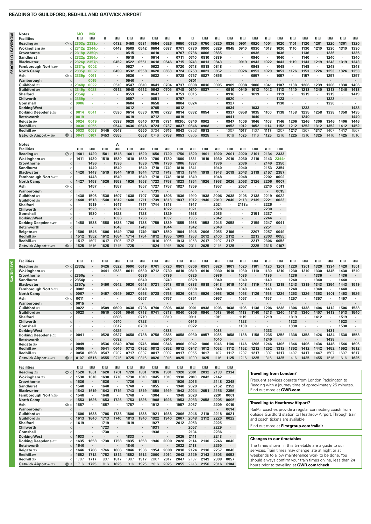#### **READING TO GUILDFORD, REDHILL AND GATWICK AIRPORT**

**Notes MO MX** 

| Reading               | ⑦ d              | 2303p             | 2333p  |         | 0432      | 0458 | 0531    | 0554      | 0626           | 0650    | 0720                 | 0750                 | 0820      | 0836 | 0901    | 0920 | 1004           | 1020  | 1101    | 1120 | 1201    | 1220 | 1301           | 1320 |
|-----------------------|------------------|-------------------|--------|---------|-----------|------|---------|-----------|----------------|---------|----------------------|----------------------|-----------|------|---------|------|----------------|-------|---------|------|---------|------|----------------|------|
| Wokingham =           |                  | 2312p 2344p       |        |         | 0443      | 0509 | 0542    | 0604      | 0637           | 0701    | 0730                 | 0800                 | 0829      | 0845 | 0910    | 0930 | 1013           | 1030  | 1110    | 1130 | 1210    | 1230 | 1310           | 1330 |
| Crowthorne            | d                | 2318p 2350p       |        |         |           | 0515 |         | 0610      |                | 0707    | 0736                 | 0806                 | 0835      |      |         | 0936 |                | 1036  | $\cdot$ | 1136 |         | 1236 |                | 1336 |
| <b>Sandhurst</b>      | d                | 2322p 2354p       |        | ٠       |           | 0519 | ٠       | 0614      | $\cdot$        | 0711    | 0740                 | 0810                 | 0839      |      |         | 0940 |                | 1040  | ٠       | 1140 |         | 1240 |                | 1340 |
| <b>Blackwater</b>     | d                | 2326p 2357p       |        |         | 0452      | 0522 | 0551    | 0618      | 0646           | 0715    | 0743                 | 0813                 | 0843      |      | 0919    | 0943 | 1022           | 1043  | 1119    | 1143 | 1219    | 1243 | 1319           | 1343 |
| Farnborough North     | d                | 2331p             | 0002   | ٠       |           | 0527 | ٠       | 0623      | $\cdot$        | 0720    | 0748                 | 0818                 | 0848      | ٠    |         | 0948 | ٠              | 1048  | ٠       | 1148 | ٠       | 1248 | $\blacksquare$ | 1348 |
| <b>North Camp</b>     | $\Omega$         | 2335 <sub>D</sub> | 0007   | ٠       | 0459      | 0532 | 0558    | 0628      | 0653           | 0724    | 0753                 | 0823                 | 0852      | ٠    | 0926    | 0953 | 1029           | 1053  | 1126    | 1153 | 1226    | 1253 | 1326           | 1353 |
| Ash                   | $\circled{3}$ d  | 2339p             | 0011   |         |           | 0536 | ٠       | 0632      |                | 0728    | 0757                 | 0827                 | 0856      |      |         | 0957 |                | 1057  |         | 1157 |         | 1257 |                | 1357 |
| Wanborough            | d                |                   | 0015   | ٠       |           | 0540 | ٠       |           |                |         | 0801                 |                      |           |      |         |      |                |       |         |      |         |      |                |      |
| Guildford             | a                | 2348 <sub>p</sub> | 0022   | $\cdot$ | 0510      | 0547 | 0610    | 0641      | 0704           | 0737    | 0808                 | 0836                 | 0905      | 0909 | 0938    | 1006 | 1041           | 1107  | 1138    | 1206 | 1239    | 1306 | 1338           | 1406 |
| Guildford $\equiv$    | d                | 2349 <sub>p</sub> | 0023   | $\cdot$ | 0512      | 0548 | 0612    | 0642      | 0705           | 0748    | 0810                 | 0837                 |           | 0910 | 0940    | 1013 | 1042           | 1113  | 1140    | 1213 | 1240    | 1313 | 1340           | 1413 |
| <b>Shalford</b>       | d                | 2354 <sub>p</sub> | ×      | $\cdot$ |           | 0553 | ٠       | 0647      | $\blacksquare$ | 0753    | 0815                 | ٠                    |           | 0916 | ٠       | 1019 |                | 1119  | ٠       | 1219 | $\cdot$ | 1319 | ٠              | 1419 |
| Chilworth             | $\Omega$         | 2359 <sub>p</sub> | $\sim$ |         |           | 0557 | ٠       | 0651      |                | 0757    |                      |                      |           | 0920 |         |      |                | 1123  |         |      |         | 1323 |                |      |
| Gomshall              |                  | 0006              |        |         |           | 0604 | ï       | 0658      |                | 0804    | 0824                 |                      |           | 0927 |         |      |                | 1130  |         |      |         | 1330 |                |      |
| <b>Dorking West</b>   | d                |                   |        |         | $\bullet$ | 0612 | $\cdot$ | 0705      | $\cdot$        | 0812    | ٠                    | $\cdot$              |           | 0934 | $\cdot$ | 1033 |                |       |         | 1233 |         |      |                | 1433 |
| Dorking Deepdene stra |                  | 0014              | 0041   |         | 0530      | 0614 | 0630    | 0708      | 0723           | 0814    | 0832                 | 0854                 |           | 0937 | 0958    | 1035 | 1100           | 1138  | 1158    | 1235 | 1258    | 1338 | 1358           | 1435 |
| <b>Betchworth</b>     | $\Omega$         | 0019              | ×      |         |           | 0619 |         | 0712      |                | 0819    | $\ddot{\phantom{0}}$ | $\cdot$              |           | 0941 |         | 1040 |                |       |         | 1240 |         |      |                | 1440 |
| Reigate =             | C                | 0024              | 0049   | ٠       | 0538      | 0628 | 0640    | 0718      | 0731           | 0830c   | 0840                 | 0902                 |           | 0947 | 1006    | 1046 | 1108           | 1146  | 1206    | 1246 | 1306    | 1346 | 1406           | 1446 |
| Redhill s             | a                | 0030              | 0055   | $\cdot$ | 0544      | 0636 | 0646    | 0724      | 0737           | 0837    | 0846                 | 0908                 |           | 0952 | 1012    | 1052 | 1114           | 1152  | 1212    | 1252 | 1312    | 1352 | 1412           | 1452 |
| Redhill s             | d                | 0033              | 0058   | 0445    | 0548      |      | 0650    | 0734      | 0745           | 0843    | 0853                 | 0913                 |           | 1007 | 1017    | 1107 | 1117           | 1207  | 1217    | 1307 | 1317    | 1407 | 1417           | 1507 |
| Gatwick Airport + £   | ①a               | 0041              | 0107   | 0453    | 0555      | ٠    | 0658    | 0746      | 0753           | 0853    | 0905                 | 0925                 | $\bullet$ | 1016 | 1025    | 1116 | 1125           | 1216  | 1225    | 1316 | 1325    | 1416 | 1425           | 1516 |
|                       |                  |                   |        |         |           |      |         |           |                |         |                      |                      |           |      |         |      |                |       |         |      |         |      |                |      |
| <b>Notes</b>          |                  |                   |        |         | А         |      |         |           |                |         |                      |                      |           |      |         |      |                |       |         |      |         |      |                |      |
|                       |                  |                   |        |         |           |      |         |           |                |         |                      |                      |           |      |         |      |                |       |         |      |         |      |                |      |
| <b>Facilities</b>     |                  | 08                | 印刷     | 日日      | 08        | 印刷   | 08      | 0B        | 田田             | 08      | 08                   | 08                   | 08        | 08   | ΠB      | 1B   | $\overline{a}$ | 吅?    |         |      |         |      |                |      |
| Reading s             | $\circledcirc$ d | 1401              | 1420   | 1501    | 1518      | 1601 | 1620    | 1650      | 1720           | 1750    | 1820                 | 1901                 | 1920      | 2001 | 2020    | 2101 | 2134           | 2333  |         |      |         |      |                |      |
| Wokingham <del></del> | C                | 1411              | 1430   | 1510    | 1530      | 1610 | 1630    | 1700      | 1730           | 1800    | 1831                 | 1910                 | 1930      | 2010 | 2030    | 2110 | 2143           | 2344e |         |      |         |      |                |      |
| Crowthorne            | d                |                   | 1436   | $\cdot$ | 1536      |      | 1636    | 1706      | 1736           | 1806    | 1837                 |                      | 1936      |      | 2036    |      | 2149           | 2350  |         |      |         |      |                |      |
| <b>Sandhurst</b>      | d                |                   | 1440   | ٠       | 1540      |      | 1640    | 1710      | 1740           | 1810    | 1841                 | ٠                    | 1940      |      | 2040    |      | 2153           | 2354  |         |      |         |      |                |      |
| <b>Blackwater</b>     | $\mathfrak{g}$   | 1420              | 1443   | 1519    | 1544      | 1619 | 1644    | 1713      | 1743           | 1813    | 1844                 | 1919                 | 1943      | 2019 | 2043    | 2119 | 2157           | 2357  |         |      |         |      |                |      |
| Farnborough North     | d                |                   | 1448   | $\cdot$ | 1549      | ٠    | 1649    | 1718      | 1748           | 1818    | 1849                 |                      | 1948      |      | 2048    |      | 2202           | 0002  |         |      |         |      |                |      |
| <b>North Camp</b>     | $\Omega$         | 1427              | 1453   | 1526    | 1553      | 1626 | 1653    | 1723      | 1753           | 1823    | 1854                 | 1926                 | 1953      | 2026 | 2053    | 2126 | 2206           | 0007  |         |      |         |      |                |      |
| Ash                   | $3$ d            |                   | 1457   | $\cdot$ | 1557      |      | 1657    | 1727      | 1757           | 1827    | 1859                 | ٠                    | 1957      | ٠    | 2057    |      | 2210           | 0011  |         |      |         |      |                |      |
| Wanborough            | d                |                   |        |         |           |      |         | 1731      |                |         |                      |                      |           |      |         |      |                | 0015  |         |      |         |      |                |      |
| Guildford             | a                | 1438              | 1506   | 1538    | 1607      | 1638 | 1707    | 1738      | 1806           | 1836    | 1910                 | 1938                 | 2006      | 2038 | 2106    | 2138 | 2219           | 0022  |         |      |         |      |                |      |
| Guildford =           | d                | 1440              | 1513   | 1540    | 1612      | 1640 | 1711    | 1739      | 1813           | 1837    | 1912                 | 1940                 | 2019      | 2040 | 2113    | 2139 | 2221           | 0023  |         |      |         |      |                |      |
| <b>Shalford</b>       | d                |                   | 1519   | $\cdot$ | 1617      |      | 1717    | 1744      | 1818           |         | 1917                 |                      | 2024      |      | 2118a   |      | 2226           |       |         |      |         |      |                |      |
| Chilworth             | d                |                   | 1523   | $\cdot$ | 1621      |      | 1721    | $\cdot$   | 1822           |         | 1921                 | $\cdot$              | 2028      |      |         |      | 2230           |       |         |      |         |      |                |      |
| Gomshall              | d                |                   | 1530   | ٠       | 1628      | ٠    | 1728    | $\cdot$   | 1829           | $\cdot$ | 1928                 | ٠                    | 2035      | ٠    |         | 2151 | 2237           |       |         |      |         |      |                |      |
| <b>Dorking West</b>   |                  |                   |        | ٠       | 1636      |      | 1736    | $\bullet$ | 1837           | $\cdot$ | 1935                 | ٠                    | 2042      |      |         |      | 2244           |       |         |      |         |      |                |      |
| Dorking Deepdene stra | C                | 1458              | 1538   | 1558    | 1638      | 1700 | 1738    | 1759      | 1839           | 1855    | 1938                 | 1958                 | 2045      | 2058 |         | 2159 | 2247           | 0041  |         |      |         |      |                |      |
| Betchworth            | d                |                   |        |         | 1643      |      | 1743    |           | 1844           |         | 1942                 | $\ddot{\phantom{0}}$ | 2049      |      | $\cdot$ |      | 2251           |       |         |      |         |      |                |      |
| Reigate service       | d                | 1506              | 1546   | 1606    | 1649      | 1708 | 1749    | 1807      | 1850           | 1904    | 1948                 | 2006                 | 2055      | 2106 |         | 2207 | 2257           | 0049  |         |      |         |      |                |      |
| Redhill s             | a                | 1512              | 1552   | 1612    | 1654      | 1714 | 1754    | 1812      | 1855           | 1909    | 1953                 | 2012                 | 2100      | 2112 | $\cdot$ | 2213 | 2303           | 0055  |         |      |         |      |                |      |
| Redhill s             | d                | 1517              | 1607   | 1617    | 1706      | 1717 |         | 1816      | 1906           | 1913    | 1958                 | 2017                 | 2107      | 2117 | $\cdot$ | 2217 | 2306           | 0058  |         |      |         |      |                |      |
| Gatwick Airport + £   | $10 a$           | 1525              | 1616   | 1625    | 1715      | 1725 |         | 1824      | 1915           | 1920    | 2011                 | 2025                 | 2116      | 2125 |         | 2225 | 2315           | 0107  |         |      |         |      |                |      |

**Facilities** 1 \$ 1 \$ 1 1 \$ 1 \$ 1 \$ 1 \$ 1 \$ 1 1 1 \$ 1 \$ 1 \$ 1 \$ 1 \$ 1 \$ 1 \$ 1 \$ 1 \$ 1 \$ 1 \$ 1 \$ 1 \$

| <b>Facilities</b>                |                 | ПR           | п         | 11 B | ПR   | 1 B  | 11 R | ПR            | ПR   | 1R   | 11 B | 11 R | ПR   | 1 B  | 11 B         | OB   | 11 B | 11 R | ПR   | 11 B | 11 B | 1R   | 18   | ПR   |
|----------------------------------|-----------------|--------------|-----------|------|------|------|------|---------------|------|------|------|------|------|------|--------------|------|------|------|------|------|------|------|------|------|
| Reading search                   | $(7)$ d         | 2333p        |           | 0426 | 0522 | 0600 | 0619 | 0701          | 0720 | 0801 | 0806 | 0901 | 0920 | 1001 | 1020         | 1101 | 1120 | 1201 | 1220 | 1301 | 1320 | 1334 | 1420 | 1501 |
| Wokingham $\equiv$               | d               |              |           | 0441 | 0533 | 061  | 0630 | 0712          | 0730 | 0810 | 0819 | 0910 | 0930 | 1010 | 1030         | 1110 | 1130 | 1210 | 1230 | 1310 | 1330 | 1345 | 1430 | 1510 |
| <b>Crowthorne</b>                |                 | $d$ 2350 $p$ |           |      |      |      | 0636 |               | 0736 |      | 0825 |      | 0936 |      | 1036         |      | 1136 |      | 1236 |      | 1336 |      | 1436 |      |
| <b>Sandhurst</b>                 |                 | $d$ 2354 $p$ |           |      |      |      | 0640 |               | 0740 |      | 0829 |      | 0940 |      | 1040         |      | 1140 |      | 1240 |      | 1340 |      | 1440 |      |
| <b>Blackwater</b>                |                 | $d$ 2357p    |           | 0450 | 0542 | 0620 | 0643 | $072^{\circ}$ | 0743 | 0819 | 0833 | 0919 | 0943 | 1019 | 1043         | 1119 | 1143 | 1219 | 1243 | 1319 | 1343 | 1354 | 1443 | 1519 |
| Farnborough North $\mathfrak{m}$ | n               | 0002         |           |      |      |      | 0648 |               | 0748 |      | 0838 |      | 0948 |      | 1048         |      | 1148 |      | 1248 |      | 1348 |      | 1448 |      |
| North Camp                       | $\sqrt{ }$      | 0007         |           | 0457 | 0549 | 0627 | 0653 | 0728          | 0753 | 0826 | 0844 | 0926 | 0953 | 1026 | 1053         | 1126 | 1153 | 1226 | 1253 | 1326 | 1353 | 1401 | 1453 | 1526 |
| Ash                              | $\circled{3}$ d | 0011         |           |      |      |      | 0657 |               | 0757 |      | 0851 |      | 0957 |      | 1057         |      | 1157 |      | 1257 |      | 1357 |      | 1457 |      |
| Wanborough                       | $\cap$          | 0015         |           |      |      |      |      |               |      |      |      |      |      |      |              |      |      |      |      |      |      |      |      |      |
| Guildford =                      |                 | 0022         |           | 0509 | 0600 | 0638 | 0706 | 0740          | 0806 | 0838 | 0901 | 0938 | 1006 | 1038 | 106          | 1138 | 1206 | 1238 | 1306 | 1338 | 1406 | 1412 | 1506 | 1538 |
| Guildford                        | n               | 0023         | $\bullet$ | 0510 | 0601 | 0640 | 0713 | 074           | 0813 | 0840 | 0906 | 0940 | 1013 | 1040 | 1113         | 1140 | 1213 | 1240 | 1313 | 1340 | 1407 | 1413 | 1513 | 1540 |
| <b>Shalford</b>                  | d               |              |           |      | 0606 |      | 0719 |               | 0819 |      | 0911 |      | 1019 |      | 1119         |      | 1219 |      | 1319 |      | 1412 |      | 1519 |      |
| <b>Chilworth</b>                 | d               |              |           |      | 0610 |      | 0723 |               |      |      | 0915 |      |      |      | 1123         |      |      |      | 1323 |      |      |      | 1523 |      |
| Gomshall                         | O               |              |           |      | 0617 |      | 0730 |               |      |      | 0922 |      |      |      | 1130         |      |      |      | 1330 |      |      |      | 1530 |      |
| <b>Dorking West</b>              | $\mathsf{d}$    |              |           |      | 0625 |      |      |               | 0833 |      |      |      | 1033 |      |              |      | 1233 |      |      |      |      | 1431 |      |      |
| Dorking Deepdene 2               | d               | 0041         |           | 0528 | 0627 | 0658 | 0738 | 0758          | 0835 | 0858 | 0930 | 0957 | 1035 | 1058 | 1138         | 1158 | 1235 | 1258 | 1338 | 1358 | 1426 | 1434 | 1538 | 1558 |
| <b>Betchworth</b>                | d               |              |           |      | 0632 |      |      |               | 0840 |      |      |      | 1040 |      |              |      | 1240 |      |      |      |      | 1438 |      |      |
| Reigate $\equiv$                 | C               | 0049         |           | 0536 | 0640 | 0706 | 0746 | 0806          | 0846 | 0906 | 0942 | 1006 | 1046 | 1106 | 1146         | 1206 | 1246 | 1306 | 1346 | 1406 | 1436 | 1446 | 1546 | 1606 |
| Redhill s                        |                 | 0055         |           | 0541 | 0646 | 0712 | 0752 | 0812          | 0852 | 0912 | 0947 | 1012 | 1052 | 1112 | 1152         | 1212 | 1252 | 1312 | 1352 | 1412 | 1442 | 1452 | 1552 | 1612 |
| Redhill s                        |                 | 0058         | 0508      | 0547 | 0707 | 0717 | 080  | 0817          | 090. | 091  | 0955 | 101  | 1107 | 1117 | $20^{\circ}$ | 1217 | 130. | 1317 | 1407 | 1417 | 1447 | 1501 | 1607 | 1617 |
| Gatwick Airport +                | $\omega$ a      | 0107         | 0516      | 0555 | 0716 | 0725 | 0816 | 0826          | 0916 | 0925 | 1009 | 1025 | 1116 | 1125 |              | 1225 | 1316 | 1325 | 1416 | 1425 | 1455 | 1516 | 1616 | 1625 |

| <b>Facilities</b>   |                | 日日        | ПR   | 18   | OB      | 自国   | 日日                       | пв   | пв                       | 日日             | пв   | 日日      | 日日      | 自国   |
|---------------------|----------------|-----------|------|------|---------|------|--------------------------|------|--------------------------|----------------|------|---------|---------|------|
| Reading some        | $(7)$ d        | 1520      | 1601 | 1620 | 1701    | 1720 | 1801                     | 1836 | 1901                     | 1920           | 2001 | 2032    | 2133    | 2334 |
| Wokingham $\equiv$  | d              | 1530      | 1610 | 1630 | 1710    | 1730 | 1810                     | 1845 | 1910                     | 1930           | 2010 | 2042    | 2142    | ٠    |
| Crowthorne          | d              | 1536      | ٠    | 1636 |         | 1736 | $\overline{\phantom{a}}$ | 1851 | $\overline{\phantom{a}}$ | 1936           | 2016 |         | 2148    | 2348 |
| <b>Sandhurst</b>    | d              | 1540      | ٠    | 1640 | ٠       | 1740 | ٠                        | 1855 | ٠                        | 1940           | 2020 |         | 2152    | 2352 |
| <b>Blackwater</b>   | d              | 1543      | 1619 | 1643 | 1719    | 1743 | 1819                     | 1859 | 1919                     | 1943           | 2024 | 2051    | 2156    | 2356 |
| Farnborough North   | d              | 1548      | ٠    | 1648 |         | 1748 |                          | 1904 |                          | 1948           | 2029 |         | 2201    | 0001 |
| <b>North Camp</b>   | d              | 1553      | 1626 | 1653 | 1726    | 1753 | 1826                     | 1908 | 1926                     | 1953           | 2033 | 2058    | 2205    | 0006 |
| Ash                 | (3)<br>d       | 1557      | ٠    | 1657 |         | 1757 |                          | 1912 | $\overline{\phantom{a}}$ | 1957           | 2037 | ٠       | 2209    | 0010 |
| Wanborough          | d              | $\bullet$ | ٠    |      | ٠       | ٠    |                          |      | ٠                        | $\blacksquare$ |      | ٠       | $\cdot$ | 0014 |
| Guildford =         | a              | 1606      | 1638 | 1706 | 1738    | 1806 | 1838                     | 1921 | 1938                     | 2006           | 2046 | 2110    | 2218    | 0021 |
| Guildford           | d              | 1613      | 1640 | 1713 | 1740    | 1813 | 1840                     | 1922 | 1940                     | 2007           | 2048 | 2112    | 2220    | 0022 |
| <b>Shalford</b>     | d              | 1619      | ٠    | 1719 |         | 1819 | ٠                        | 1927 |                          | 2012           | 2053 |         | 2225    | ٠    |
| Chilworth           | d              | $\bullet$ | ٠    | 1723 | $\cdot$ | ٠    | ٠                        | 1931 | ٠                        | ٠              | 2057 | $\cdot$ | 2229    | ٠    |
| Gomshall            | d              | ٠         | ٠    | 1730 | ٠       |      | ٠                        | 1938 | ٠                        |                | 2104 | ٠       | 2236    | ٠    |
| <b>Dorking West</b> | d              | 1633      | ٠    |      |         | 1833 | ٠                        |      | ٠                        | 2025           | 2111 | ٠       | 2243    | ٠    |
| Dorking Deepdene =  | d              | 1635      | 1658 | 1738 | 1758    | 1835 | 1858                     | 1946 | 2000                     | 2028           | 2114 | 2130    | 2246    | 0040 |
| <b>Betchworth</b>   | d              | 1640      | ٠    |      |         | 1840 |                          |      |                          | 2032           | 2118 |         | 2250    | ٠    |
| Reigate ser         | d              | 1646      | 1706 | 1746 | 1806    | 1846 | 1906                     | 1954 | 2008                     | 2038           | 2124 | 2138    | 2257    | 0048 |
| Redhill son         | a              | 1652      | 1712 | 1752 | 1812    | 1852 | 1912                     | 2000 | 2014                     | 2043           | 2129 | 2143    | 2303    | 0053 |
| Redhill and         | d              | 1707      | 1717 | 1807 | 1817    | 1907 | 1917                     | 2007 | 2017                     | 2047           | 2137 | 2149    | 2308    | 0057 |
| Gatwick Airport + = | <b>10</b><br>a | 1716      | 1725 | 1816 | 1825    | 1916 | 1925                     | 2016 | 2025                     | 2055           | 2146 | 2156    | 2316    | 0104 |

| <b>Travelling from London?</b> |  |
|--------------------------------|--|
|                                |  |

Frequent services operate from London Paddington to Reading with a journey time of approximately 25 minutes. Find out more at **GWR.com**

#### **Travelling to Heathrow Airport?**

RailAir coaches provide a regular connecting coach from outside Guildford station to Heathrow Airport. Through train and coach tickets are available.

Find out more at **Firstgroup.com/railair**

#### **Changes to our timetables**

The times shown in this timetable are a guide to our services. Train times may change late at night or at weekends to allow maintenance work to be done. You should always confirm your train times online, less than 24 hours prior to travelling at **GWR.com/check**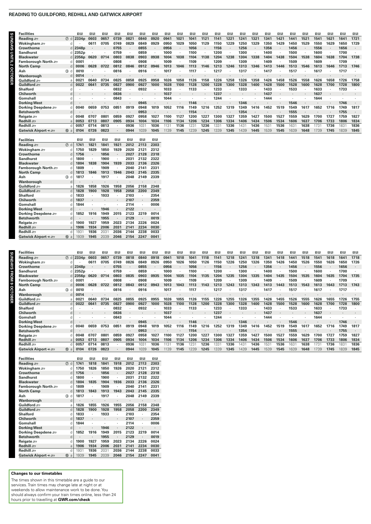#### **READING TO GUILDFORD, REDHILL AND GATWICK AIRPORT**

| ı |
|---|
|   |
|   |
|   |
|   |
|   |
|   |
|   |
|   |
|   |
|   |
|   |

г.

| Reading                    | $\circledcirc$ d    | 2334 <sub>p</sub> | 0603 | 0657 | 0739 | 0821 | 0840 | 0920        | 0941 | 1021 | 1041 | 1121 | 1141 | 1221 | 1241 | 1321 | 1341 | 1421 | 1441 | 1521 | 1541 | 1621 | 1641 | 1721   |
|----------------------------|---------------------|-------------------|------|------|------|------|------|-------------|------|------|------|------|------|------|------|------|------|------|------|------|------|------|------|--------|
| Wokingham <i>s</i> ∋       |                     |                   | 0611 | 0705 | 0749 | 0829 | 0849 | 0929        | 0950 | 1029 | 1050 | 1129 | 1150 | 1229 | 1250 | 1329 | 1350 | 1429 | 1450 | 1529 | 1550 | 1629 | 1650 | 1729   |
| Crowthorne                 |                     | $d$ 2348p         |      |      | 0755 |      | 0855 |             | 0956 |      | 1056 |      | 1156 |      | 1256 |      | 1356 |      | 1456 |      | 1556 |      | 1656 |        |
| <b>Sandhurst</b>           | a.                  | 2352 <sub>p</sub> |      |      | 0759 |      | 0859 |             | 1000 |      | 1100 |      | 1200 |      | 1300 |      | 1400 |      | 1500 |      | 1600 |      | 1700 |        |
| <b>Blackwater</b>          |                     | d $2356p$         | 0620 | 0714 | 0803 | 0838 | 0903 | 0938        | 1004 | 1038 | 1104 | 1138 | 1204 | 1238 | 1304 | 1338 | 1404 | 1438 | 1504 | 1538 | 1604 | 1638 | 1704 | 1738   |
| Farnborough North $\equiv$ |                     | 0001              |      |      | 0808 |      | 0908 |             | 1009 |      | 1109 |      | 1209 |      | 1309 |      | 1409 |      | 1509 |      | 1609 |      | 1709 |        |
| North Camp                 | d.                  | 0006              | 0628 | 0722 | 0812 | 0846 | 0912 | 0946        | 1013 | 1046 | 1113 | 1146 | 1213 | 1246 | 1313 | 1346 | 1413 | 1446 | 1513 | 1546 | 1613 | 1646 | 1713 | 1746   |
| Ash                        | $\circled{3}$ d     | 0010              |      |      | 0816 |      | 0916 |             | 1017 |      | 1117 |      | 1217 |      | 1317 |      | 1417 |      | 1517 |      | 1617 |      | 1717 |        |
| Wanborough                 | d.                  | 0014              |      |      |      |      |      |             |      |      |      |      |      |      |      |      |      |      |      |      |      |      |      |        |
| Guildford =                |                     | 002               | 0640 | 0734 | 0825 | 0858 | 0925 | 0958        | 1026 | 1058 | 1126 | 1158 | 1226 | 1258 | 1326 | 1358 | 1426 | 1458 | 1526 | 1558 | 1626 | 1658 | 1726 | 1758   |
| Guildford <i>s</i> ⊟       | d.                  | 0022              | 0641 | 0735 | 0827 | 0900 | 0927 | 1000        | 1028 | 1100 | 1128 | 1200 | 1228 | 1300 | 1328 | 1400 | 1428 | 1500 | 1528 | 1600 | 1628 | 1700 | 1728 | 1800   |
| <b>Shalford</b>            |                     |                   |      |      | 0832 |      | 0932 |             | 1033 |      | 1133 |      | 1233 |      | 1333 |      | 1433 |      | 1533 |      | 1633 |      | 1733 |        |
| Chilworth                  | <sub>d</sub>        |                   |      |      | 0836 |      |      |             | 1037 |      |      |      | 1237 |      |      |      | 1437 |      |      |      | 1637 |      |      | $\sim$ |
| Gomshall                   |                     |                   |      |      | 0843 |      |      |             | 1044 |      |      |      | 1244 |      |      |      | 1444 |      |      |      | 1644 |      |      |        |
| Dorking West               |                     |                   |      |      |      |      | 0945 |             |      |      | 1146 |      |      |      | 1346 |      |      |      | 1546 |      |      |      | 1746 |        |
| Dorking Deepdene 2         |                     | 0040              | 0659 | 0753 | 085  | 0919 | 0948 | 1019        | 1052 | 1116 | 1149 | 1216 | 1252 | 1319 | 1349 | 1416 | 1452 | 1519 | 1549 | 1617 | 1652 | 1716 | 1749 | 1817   |
| <b>Betchworth</b>          | <sub>C</sub>        |                   |      |      |      |      | 0953 |             |      |      | 1154 |      |      |      | 1354 |      |      |      | 1555 |      |      |      | 1755 |        |
| Reigate son                |                     | 0048              | 0707 | 0801 | 0859 | 0927 | 0958 | 1027        | 1100 | 1127 | 1200 | 1227 | 1300 | 1327 | 1359 | 1427 | 1500 | 1527 | 1559 | 1629 | 1700 | 1727 | 1759 | 1827   |
| Redhill s                  |                     | 0053              | 0713 | 0807 | 0905 | 0934 | 1004 | 1034        | 1106 | 1134 | 1206 | 1234 | 1306 | 1334 | 1406 | 1434 | 1506 | 1534 | 1606 | 1637 | 1706 | 1733 | 1806 | 1834   |
| Redhill æ                  |                     | 0057              | 0714 | 0813 |      | 0936 | 103  | 1036        | 1131 | 1136 | 1231 | 1236 | 1331 | 1336 | 1431 | 1436 | 1531 | 1536 | 1631 | 1638 | 1731 | 1736 | 1831 | 1836   |
| Gatwick Airport $\div$ £   | $10 a$              | 0104              | 0726 | 0823 |      | 0944 | 1039 | 1045        | 1139 | 1145 | 1239 | 1245 | 1339 | 1345 | 1439 | 1445 | 1539 | 1545 | 1639 | 1648 | 1739 | 1745 | 1839 | 1845   |
|                            |                     |                   |      |      |      |      |      |             |      |      |      |      |      |      |      |      |      |      |      |      |      |      |      |        |
| <b>Facilities</b>          |                     | 日日                | 18   | 日日   | 日日   | 18   | 18   | ПR          |      |      |      |      |      |      |      |      |      |      |      |      |      |      |      |        |
| $Daoedina \sim$            | $\bigcap$ $\bigcup$ | 1741              | 1021 | 1041 | 1021 | 2012 | 2112 | <b>COCC</b> |      |      |      |      |      |      |      |      |      |      |      |      |      |      |      |        |

**Facilities** 1 \$ 1 \$ 1 \$ 1 \$ 1 \$ 1 \$ 1 \$ 1 \$ 1 \$ 1 \$ 1 \$ 1 \$ 1 \$ 1 \$ 1 \$ 1 \$ 1 \$ 1 \$ 1 \$ 1 \$ 1 \$ 1 \$ 1 \$

| Reading             | $\circledD$<br>d    | 1741 | 1821    | 1841 | 1921    | 2012 | 2113                 | 2303 |
|---------------------|---------------------|------|---------|------|---------|------|----------------------|------|
| Wokingham =         | d                   | 1750 | 1829    | 1850 | 1929    | 2020 | 2121                 | 2312 |
| <b>Crowthorne</b>   | d                   | 1756 | $\cdot$ | 1856 |         | 2027 | 2128                 | 2318 |
| <b>Sandhurst</b>    | d                   | 1800 | ٠       | 1900 | ٠       | 2031 | 2132                 | 2322 |
| <b>Blackwater</b>   | d                   | 1804 | 1838    | 1904 | 1939    | 2033 | 2136                 | 2326 |
| Farnborough North   | d                   | 1809 | ٠       | 1909 |         | 2040 | 2141                 | 2331 |
| <b>North Camp</b>   | d                   | 1813 | 1846    | 1913 | 1946    | 2043 | 2145                 | 2335 |
| Ash                 | 3<br>d              | 1817 | ٠       | 1917 | ٠       | 2048 | 2149                 | 2339 |
| Wanborough          | d                   | ٠    | ٠       |      | ٠       |      | ٠                    | ٠    |
| Guildford           | a                   | 1826 | 1858    | 1926 | 1958    | 2056 | 2158                 | 2348 |
| Guildford           | d                   | 1828 | 1900    | 1928 | 1958    | 2058 | 2200                 | 2349 |
| <b>Shalford</b>     | d                   | 1833 | ٠       | 1933 | ٠       | 2103 | ٠                    | 2354 |
| Chilworth           | d                   | 1837 | ٠       |      | $\cdot$ | 2107 | $\ddot{\phantom{0}}$ | 2359 |
| Gomshall            | d                   | 1844 | ٠       | ٠    | ٠       | 2114 | ٠                    | 0006 |
| <b>Dorking West</b> | d                   | ٠    | ٠       | 1946 | ٠       | 2122 | ٠                    | ٠    |
| Dorking Deepdene =  | d                   | 1852 | 1916    | 1949 | 2015    | 2123 | 2219                 | 0014 |
| <b>Betchworth</b>   | d                   | ٠    | $\cdot$ | 1955 | ×       | 2129 |                      | 0019 |
| Reigate som         | d                   | 1900 | 1927    | 1959 | 2023    | 2134 | 2226                 | 0024 |
| Redhill s           | a                   | 1906 | 1934    | 2006 | 2031    | 2141 | 2234                 | 0030 |
| Redhill s           | d                   | 1931 | 1936    | 2031 | 2036    | 2144 | 2238                 | 0033 |
| Gatwick Airport +   | $^{\circledR}$<br>a | 1939 | 1945    | 2039 | 2046    | 2154 | 2247                 | 0041 |
|                     |                     |      |         |      |         |      |                      |      |

**SUNDAYS FROM 9 OCTOBER**

|                                                                      |                                 | 11 B | ПR   | 扣围   | 日日   | 1R   | 11 R | ПR   | 11 R         | ПR           | 18   | 11 R | 11 B          | 18   | 11 R | 1 B  | 11 B | ПR   | 1R   | 11 B | ПR   |
|----------------------------------------------------------------------|---------------------------------|------|------|------|------|------|------|------|--------------|--------------|------|------|---------------|------|------|------|------|------|------|------|------|
| 2334 <sub>p</sub><br>0603                                            | 0657                            | 0739 | 0818 | 0840 | 0918 | 0941 | 1018 | 1041 | 1118         | 1141         | 1218 | 1241 | 1318          | 1341 | 1418 | 1441 | 1518 | 1541 | 1618 | 1641 | 1718 |
| 061                                                                  | 0705                            | 0749 | 0826 | 0849 | 0926 | 0950 | 1026 | 1050 | 1126         | 1150         | 1226 | 1250 | 1326          | 1350 | 1426 | 1450 | 1526 | 1550 | 1626 | 1650 | 1726 |
|                                                                      |                                 | 0755 |      | 0855 |      | 0956 |      | 1056 |              | 1156         |      | 1256 |               | 1356 |      | 1456 |      | 1556 |      | 1656 |      |
|                                                                      |                                 | 0759 |      | 0859 |      | 1000 |      | 1100 |              | 1200         |      | 1300 |               | 1400 |      | 1500 |      | 1600 |      | 1700 |      |
| 0620                                                                 | 0714                            | 0803 | 0835 | 0903 | 0935 | 1004 | 1035 | 1104 | 1135         | 1204         | 1235 | 1304 | 1335          | 1404 | 1435 | 1504 | 1535 | 1604 | 1635 | 1704 | 1735 |
|                                                                      |                                 | 0808 |      | 0908 |      | 1009 |      | 1109 |              | 1209         |      | 1309 |               | 1409 |      | 1509 |      | 1609 |      | 1709 |      |
| 0628                                                                 | 0722                            | 0812 |      | 0912 | 0943 | 1013 | 1043 |      |              | 1213         | 1243 | 1313 | 1343          | 1413 | 1443 | 1513 | 1543 | 1613 | 1643 | 1713 | 1743 |
|                                                                      |                                 | 0816 |      | 0916 |      | 1017 |      | 1117 |              | 1217         |      | 1317 |               | 1417 |      | 1517 |      | 1617 |      | 1717 |      |
| ٠                                                                    |                                 |      |      |      |      |      |      |      |              |              |      |      |               |      |      |      |      |      |      |      |      |
| 0640                                                                 | 0734                            | 0825 | 0855 | 0925 | 0955 | 1026 | 1055 | 1126 | 1155         | 1226         | 1255 | 1326 | 1355          | 1426 | 1455 | 1526 | 1555 | 1626 | 1655 | 1726 | 1755 |
| 0641                                                                 | 0735                            | 0827 | 0900 | 0927 | 1000 | 1028 | 1100 | 1128 | 1200         | 1228         | 1300 | 1328 | 1400          | 1428 | 1500 | 1528 | 1600 | 1628 | 1700 | 1728 | 1800 |
|                                                                      |                                 | 0832 |      | 0932 |      | 1033 |      | 1133 |              | 1233         |      | 1333 |               | 1433 |      | 1533 |      | 1633 |      | 1733 |      |
|                                                                      |                                 | 0836 |      |      |      | 1037 |      |      |              | 1237         |      |      |               | 1437 |      |      |      | 1637 |      |      |      |
|                                                                      |                                 | 0843 |      |      |      | 1044 |      |      |              | 1244         |      |      |               | 1444 |      |      |      | 1644 |      |      |      |
|                                                                      |                                 |      |      | 0945 |      |      |      | 1146 |              |              |      | 1346 |               |      |      | 1546 |      |      |      | 1746 |      |
| 0659                                                                 | 0753                            | 085  | 0919 | 0948 | 1019 | 1052 | 1116 | 1149 | 1216         | 1252         | 1319 | 349  | 1416          | 1452 | 1519 | 1549 | 1617 | 1652 | 1716 | 1749 | 1817 |
|                                                                      |                                 |      |      | 0953 |      |      |      | 1154 |              |              |      | 1354 |               |      |      | 1555 |      |      |      | 1755 |      |
| 0707                                                                 | 080                             | 0859 | 092  | 0958 | 1027 | 1100 | 1127 | 1200 | 122          | 1300         | 132. | 1359 | $142^{\circ}$ | 1500 | 152. | 1559 | 1629 | 1700 | 1727 | 1759 | 1827 |
| 0713                                                                 | 0807                            | 0905 | 0934 | 1004 | 1034 | 1106 | 1134 | 1206 | 1234         | 1306         | 1334 | 1406 | 1434          | 1506 | 1534 | 1606 | 1637 | 1706 | 1733 | 1806 | 1834 |
| 0714                                                                 | 0813                            |      | 0936 | 103  | 1036 | 1131 | 1136 |      |              | 133          | 1336 | 1431 | 1436          | 1531 | 1536 |      | 1638 | 173' | 1736 |      | 1836 |
| 0726                                                                 | 0823                            |      | 0944 | 1039 | 1045 | 1139 | 1145 | 1239 | 1245         | 1339         | 1345 | 1439 | 1445          | 1539 | 1545 | 1639 | 1648 | 1739 | 1745 | 1839 | 1845 |
| 0006<br>0010<br>0014<br>0022<br>0040<br>0048<br>0053<br>0057<br>0104 | $d$ 2348p<br>2352p<br>$d$ 2356p |      |      | 0843 |      |      |      |      | 1113<br>123' | 1143<br>1236 |      |      |               |      |      |      | 163  |      |      |      | 1831 |

| <b>Facilities</b>          |                     | ПR   | ПR                   | 1 R     | 日日                   | 1 R  | 1 R                  | ПR             |
|----------------------------|---------------------|------|----------------------|---------|----------------------|------|----------------------|----------------|
| Reading search             | (7)<br>d            | 1741 | 1818                 | 1841    | 1918                 | 2012 | 2113                 | 2303           |
| Wokingham $\equiv$         | d                   | 1750 | 1826                 | 1850    | 1926                 | 2020 | 2121                 | 2312           |
| <b>Crowthorne</b>          | d                   | 1756 | ٠                    | 1856    | $\cdot$              | 2027 | 2128                 | 2318           |
| <b>Sandhurst</b>           | d                   | 1800 |                      | 1900    | $\cdot$              | 2031 | 2132                 | 2322           |
| <b>Blackwater</b>          | d                   | 1804 | 1835                 | 1904    | 1936                 | 2033 | 2136                 | 2326           |
| Farnborough North $\equiv$ | d                   | 1809 | ×                    | 1909    |                      | 2040 | 2141                 | 2331           |
| <b>North Camp</b>          | d                   | 1813 | 1843                 | 1913    | 1943                 | 2043 | 2145                 | 2335           |
| Ash                        | ③<br>d              | 1817 | ٠                    | 1917    | ٠                    | 2048 | 2149                 | 2339           |
| Wanborough                 | d                   |      | $\cdot$              | ٠       | $\blacksquare$       | ٠    | ٠                    | $\overline{a}$ |
| Guildford =                | a                   | 1826 | 1855                 | 1926    | 1955                 | 2056 | 2158                 | 2348           |
| Guildford                  | d                   | 1828 | 1900                 | 1928    | 1958                 | 2058 | 2200                 | 2349           |
| <b>Shalford</b>            | d                   | 1833 | ٠                    | 1933    | $\cdot$              | 2103 | ٠                    | 2354           |
| Chilworth                  | d                   | 1837 | $\ddot{\phantom{a}}$ | $\cdot$ | $\ddot{\phantom{0}}$ | 2107 | $\cdot$              | 2359           |
| Gomshall                   | d                   | 1844 |                      | ٠       | $\cdot$              | 2114 |                      | 0006           |
| <b>Dorking West</b>        | d                   |      | $\cdot$              | 1946    | $\cdot$              | 2122 | $\ddot{\phantom{0}}$ | $\cdot$        |
| Dorking Deepdene           | d                   | 1852 | 1916                 | 1949    | 2015                 | 2123 | 2219                 | 0014           |
| <b>Betchworth</b>          | d                   |      | ٠                    | 1955    | ×                    | 2129 |                      | 0019           |
| Reigate ser                | d                   | 1900 | 1927                 | 1959    | 2023                 | 2134 | 2226                 | 0024           |
| Redhill s                  | a                   | 1906 | 1934                 | 2006    | 2031                 | 2141 | 2234                 | 0030           |
| Redhill s                  | d                   | 1931 | 1936                 | 2031    | 2036                 | 2144 | 2238                 | 0033           |
| Gatwick Airport + =        | $^{\circledR}$<br>a | 1939 | 1945                 | 2039    | 2046                 | 2154 | 2247                 | 0041           |

#### **Changes to our timetables**

The times shown in this timetable are a guide to our services. Train times may change late at night or at<br>weekends to allow maintenance work to be done. You<br>should always confirm your train times online, less than 24<br>hours prior to travelling at **GWR.com/check**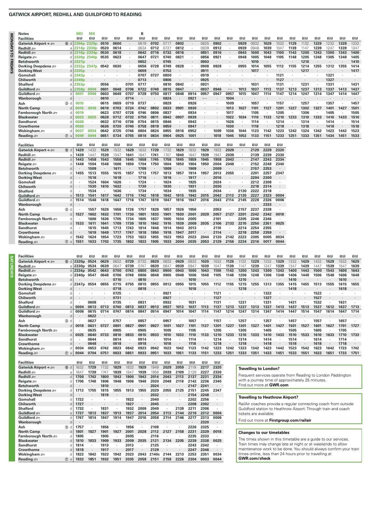#### **GATWICK AIRPORT, REDHILL AND GUILDFORD TO READING**

**Notes MO MX B** 

**SATURDAYS**

**SATURDAYS** 

| <b>Facilities</b>   |                  | 11 B              | 0 R               | ПR        | ΠR             | ΠR   | 11 B      | ΠR             | ΠR     | ΠR             | ΠR             | ПR                | 日日   | ΠR                       | 18             | 0 B  | ПR             | ΠB      | 18   | 日日   | ПR   | ΠR   | 18   | 0 R  |
|---------------------|------------------|-------------------|-------------------|-----------|----------------|------|-----------|----------------|--------|----------------|----------------|-------------------|------|--------------------------|----------------|------|----------------|---------|------|------|------|------|------|------|
| Gatwick Airport + £ | 10 d             | 2304p             | 2320 <sub>p</sub> | 0510      | 0600           |      | 0619      | 0702           | 0717   | 0802           | $\blacksquare$ | 0825              | 0902 |                          | 0929           | 0932 | 1029           | 1032    | 1129 | 1132 | 1229 | 1232 | 1329 | 1332 |
| Redhill s           |                  |                   | 2314p 2330p       | 0520      | 0614           |      | 0634      | 0712           | 0727   | 0812           | $\cdot$        | 0839              | 0912 |                          | 0939           | 0948 | 1039           | 1047    | 1139 | 1147 | 1239 | 1247 | 1339 | 1347 |
| Redhill s           | <sub>d</sub>     |                   | 2316p 2334p       | 0530      | 0618           |      | 0642      | 0716           | 0732   | 0816           | $\cdot$        | 0851              | 0916 |                          | 0943           | 1000 | 1043           | 1100    | 1143 | 1200 | 1243 | 1300 | 1343 | 1400 |
| Reigate $\equiv$    |                  |                   | 2320p 2340p       | 0535      | 0623           |      | 0647      | 0721           | 0740   | 0821           | $\cdot$        | 0856              | 0921 |                          | 0948           | 1005 | 1048           | 1105    | 1148 | 1205 | 1248 | 1305 | 1348 | 1405 |
| <b>Betchworth</b>   |                  | 2327p             |                   |           |                |      | 0652      |                | 0745   |                | $\cdot$        | 0903              |      |                          |                | 1010 |                |         |      | 1210 |      |      |      | 1410 |
| Dorking Deepdene    |                  |                   | 2332p 2347p       | 0542      | 0630           |      | 0656      | 0728           | 0749   | 0828           | $\cdot$        | 0908              | 0928 |                          | 0955           | 1014 | 1055           | 1112    | 1155 | 1214 | 1255 | 1312 | 1355 | 1414 |
| <b>Dorking West</b> |                  | 2335 <sub>p</sub> |                   |           |                |      | 0659      |                | 0752   |                | $\sim$         | 0911              |      |                          |                | 1017 |                |         |      | 1217 |      |      |      | 1417 |
| Gomshall            |                  | 2343 <sub>p</sub> |                   |           |                |      | 0707      | 0737           | 0800   |                |                | 0919              |      |                          |                |      |                | 1121    |      |      |      | 1321 |      |      |
| Chilworth           |                  | 2349 <sub>p</sub> |                   |           |                |      | 0713      | ٠              | 0806   |                |                | 0925              |      |                          |                |      |                | 1127    |      |      |      | 1327 |      |      |
| <b>Shalford</b>     |                  | 2353 <sub>p</sub> | ٠.                | 0556      |                | 0701 | 0717      |                | 0810   | 0842           |                | 0931              |      |                          |                | 1031 |                | 1131    |      | 1231 |      | 1331 |      | 1431 |
| Guildford <i>s</i>  | a                | 2358p             | 0004              | 0601      | 0648           | 0706 | 0722      | 0748           | 0815   | 0847           | $\blacksquare$ | 0937              | 0946 | $\overline{\phantom{0}}$ | 1013           | 1037 | 1113           | 1137    | 1213 | 1237 | 1313 | 1337 | 1413 | 1437 |
| Guildford =         |                  | 0001              | 0006              | 0603      | 0649           | 0707 | 0728      | 0750           | 0817   | 0848           | 0914           | 0957              | 0947 | 0957                     | 1015           | 1047 | 1114           | 1147    | 1214 | 1247 | 1314 | 1347 | 1414 | 1447 |
| Wanborough          | d                |                   |                   | 0610      | $\cdot$        | 0714 | $\bullet$ | $\bullet$      | 0824   | $\cdot$        | 0921           | $\longrightarrow$ |      | 1004                     | ٠              |      |                |         |      |      |      |      |      |      |
| Ash                 | $3$ d            | 0010              |                   | 0615      | 0659           | 0719 | 0737      |                | 0829   |                | 0926           |                   |      | 1009                     |                | 1057 |                | 1157    |      | 1257 |      | 1357 |      | 1457 |
| <b>North Camp</b>   |                  | 0015              | 0018              | 0619      | 0703           | 0724 | 0742      | 0802           | 0833   | 0901           | 0930           |                   |      | 1013                     | 1027           | 1101 | 1127           | 1201    | 1227 | 1302 | 1327 | 1401 | 1427 | 1501 |
| Farnborough North = |                  | 0019              |                   | 0623      | 0707           | 0728 | 0746      | 0806           | 0837   |                | 0934           |                   |      | 1017                     |                | 1105 |                | 1205    |      | 1306 |      | 1405 |      | 1505 |
| <b>Blackwater</b>   |                  | 0023              | 0025              | 0628      | 0712           | 0732 | 0750      | 0811           | 0842   | 0907           | 0939           | ٠                 |      | 1022                     | 1034           | 1110 | 1133           | 1210    | 1233 | 1310 | 1333 | 1410 | 1433 | 1510 |
| <b>Sandhurst</b>    |                  | 0026              | ٠                 | 0632      | 0716           | 0736 | 0754      | 0815           | 0846   |                | 0943           |                   |      | 1026                     | ٠              | 1114 |                | 1214    |      | 1314 |      | 1414 |      | 1514 |
| Crowthorne          |                  | 0030              | $\mathcal{A}$     | 0636      | 0720           | 0740 | 0758      | 0819           | 0850   |                | 0947           | ٠                 |      | 1030                     | $\blacksquare$ | 1118 |                | 1218    |      | 1318 |      | 1418 |      | 1518 |
| Wokingham $\equiv$  |                  | 0037              | 0034              | 0642      | 0725           | 0746 | 0804      | 0824           | 0855   | 0916           | 0952           |                   | 1009 | 1036                     | 1044           | 1123 | 1142           | 1223    | 1242 | 1324 | 1342 | 1423 | 1442 | 1523 |
| Reading             | $\circledcirc$ a | 0049              | 0044              | 0651      | 0734           | 0755 | 0816      | 0834           | 0904   | 0925           | 1001           | ٠                 | 1018 | 1045                     | 1053           | 1133 | 1151           | 1233    | 1251 | 1333 | 1351 | 1434 | 1451 | 1533 |
|                     |                  |                   |                   |           |                |      |           |                |        |                |                |                   |      |                          |                |      |                |         |      |      |      |      |      |      |
| <b>Facilities</b>   |                  | ΠR                | $\overline{a}$    | <b>DR</b> | $\overline{u}$ | 日間   | 日日        | $\overline{u}$ | $\Box$ | $\overline{a}$ | <b>OB</b>      | 日日                | 日日   | 日日                       | 印刷             | 日日   | $\overline{a}$ | 日日      |      |      |      |      |      |      |
| Gatwick Airport + £ | (10 d            | 1429              | 1432              | 1529      | 1532           | 1629 | 1632      | 1729           | 1732   | 1829           | 1832           | 1929              | 1932 | 2029                     | $\cdot$        | 2129 | 2229           | 2320    |      |      |      |      |      |      |
| Redhill $\equiv$    |                  | 1439              | 1447              | 1539      | 1547           | 1641 | 1647      | 1741           | 1747   | 1840           | 1847           | 1939              | 1947 | 2039                     | ٠              | 2139 | 2239           | 2330    |      |      |      |      |      |      |
| Redhill s           |                  | 1443              | 1458              | 1543      | 1558           | 1645 | 1658      | 1745           | 1758   | 1845           | 1859           | 1945              | 1958 | 2043                     |                | 2147 | 2243           | 2334    |      |      |      |      |      |      |
| Reigate $\equiv$    |                  | 1448              | 1504              | 1548      | 1606           | 1650 | 1704      | 1750           | 1804   | 1850           | 1904           | 1950              | 2004 | 2048                     |                | 2152 | 2248           | 2340    |      |      |      |      |      |      |
| <b>Betchworth</b>   |                  |                   | 1509              |           | 1611           |      | 1709      |                | 1809   |                | 1909           |                   | 2009 |                          |                | 2157 | 2253           |         |      |      |      |      |      |      |
| Dorking Deepdene    |                  | 1455              | 1513              | 1555      | 1615           | 1657 | 1713      | 1757           | 1813   | 1857           | 1914           | 1957              | 2013 | 2055                     |                | 2201 | 2257           | 2347    |      |      |      |      |      |      |
| <b>Dorking West</b> | d                |                   | 1516              |           | 1618           |      | 1716      | ٠              | 1816   |                | 1917           |                   | 2016 |                          | ٠              | 2204 | 2300           |         |      |      |      |      |      |      |
| Gomshall            | n                |                   | 1524              | 1604      | 1626           |      | 1724      |                | 1824   |                | 1925           |                   | 2024 |                          |                | 2212 | 2308           |         |      |      |      |      |      |      |
| Chilworth           | d                |                   | 1530              | 1610      | 1632           |      | 1730      | ٠              | 1830   |                | 1931           | $\cdot$           | 2030 |                          |                | 2218 | 2314           | $\cdot$ |      |      |      |      |      |      |
| <b>Shalford</b>     |                  |                   | 1534              |           | 1636           |      | 1734      | ٠              | 1834   |                | 1935           |                   | 2034 |                          | 2130           | 2222 | 2318           |         |      |      |      |      |      |      |
| Guildford           |                  | 1513              | 1541              | 1617      | 1642           | 1715 | 1742      | 1818           | 1842   | 1915           | 1942           | 2015              | 2042 | 2113                     | 2135           | 2227 | 2323           | 0004    |      |      |      |      |      |      |
| Guildford =         |                  | 1514              | 1548              | 1618      | 1647           | 1716 | 1747      | 1819           | 1847   | 1916           | 1947           | 2016              | 2043 | 2114                     | 2145           | 2228 | 2326           | 0006    |      |      |      |      |      |      |

| ənanoru              |                  | 1334 |      | 1030 |      | $113 +$ |      | - 1034 |      | 1333 |         | 2034 |      |      | LIJU LLLL |      |      |
|----------------------|------------------|------|------|------|------|---------|------|--------|------|------|---------|------|------|------|-----------|------|------|
| Guildford <i>s</i> ∋ | 1513             | 1541 | 1617 | 1642 | 1715 | 1742    | 1818 | 1842   | 1915 | 1942 | 2015    | 2042 | 2113 | 2135 | 2227      | 2323 | 0004 |
| Guildford <i>s</i> ∋ | 1514             | 1548 | 1618 | 1647 | 1716 | 1747    | 1819 | 1847   | 1916 | 1947 | 2016    | 2043 | 2114 | 2145 | 2228      | 2326 | 0006 |
| Wanborough           |                  |      |      |      |      |         |      |        |      |      |         |      |      |      |           | 2333 |      |
| Ash<br>3 dl          |                  | 1557 | 1628 | 1656 | 1726 | 1757    | 1829 | 1857   | 1926 | 1956 | $\cdot$ | 2053 |      | 2157 | 2237      | 2338 |      |
| North Camp           | $d$   1527       | 1602 | 1632 | 1701 | 1730 | 1801    | 1833 | 1901   | 1930 | 2001 | 2029    | 2057 | 2127 | 2201 | 2242      | 2342 | 0018 |
| Farnborough North æ  |                  | 1606 | 1636 | 1705 | 1734 | 1805    | 1837 | 1905   | 1934 | 2005 | $\cdot$ | 2101 |      | 2205 | 2246      | 2346 |      |
| Blackwater           | 1533             | 1611 | 1641 | 1709 | 1739 | 1810    | 1842 | 1910   | 1939 | 2009 | 2035    | 2106 | 2133 | 2210 | 2250      | 2351 | 0025 |
| Sandhurst            |                  | 1615 | 1645 | 1713 | 1743 | 1814    | 1846 | 1914   | 1943 | 2013 |         | 2110 |      | 2214 | 2254      | 2355 |      |
| Crowthorne           |                  | 1619 | 1649 | 1717 | 1747 | 1818    | 1850 | 1918   | 1947 | 2017 | $\cdot$ | 2114 |      | 2218 | 2258      | 2359 |      |
| Wokingham <i>s</i> ⊟ | 1542             | 1624 | 1654 | 1723 | 1753 | 1823    | 1855 | 1923   | 1953 | 2023 | 2044    | 2120 | 2142 | 2223 | 2305      | 0005 | 0034 |
| Reading æ            | 7 al <b>1551</b> | 1633 | 1703 | 1735 | 1802 | 1833    | 1905 | 1933   | 2004 | 2035 | 2053    | 2129 | 2156 | 2234 | 2316      | 0017 | 0044 |

| <b>Facilities</b>          |         | 18                    | 11 R | ПR   | 1R   | ПR   | 1R   | 11 B | 1R   | 11 B | 11 B | 1R   | 日日   | 1R   | 1 B  | 18   | ПR   | ПR   | 11 B               | 11 B | ПR   | 11 R | 11 B | 18   |
|----------------------------|---------|-----------------------|------|------|------|------|------|------|------|------|------|------|------|------|------|------|------|------|--------------------|------|------|------|------|------|
| Gatwick Airport +          | 10 d    | 2320 <sub>p</sub>     | 0524 | 0629 | 0632 | 0729 | 0732 | 0829 | 0832 | 0929 | 0932 | 1029 | 1032 | 1129 | 1132 | 1229 | 1232 | 1329 | 1332               | 1429 | 1432 | 1529 | 1532 | 1629 |
| Redhill stra               |         | a   2330 <sub>p</sub> | 0534 | 0639 | 0647 | 0739 | 074  | 0839 | 084  | 0939 | 094  | 1039 | 104  | 1139 |      | 1239 | 1247 | 339  | $134$ <sup>-</sup> | 1439 | 144  | 1539 | 1547 | 1639 |
| Redhill s                  |         | $d$ 2334p             | 0542 | 0643 |      | 0743 | 0800 | 0843 | 0900 | 0943 | 1000 | 1043 | 1100 | 1143 | 1200 | 1243 | 1300 | 1343 | 1400               | 1443 | 1500 | 1543 | 1600 | 1643 |
| Reigate $\equiv$           |         | d <b>2340p</b>        | 0547 | 0648 | 0706 | 0748 | 0806 | 0848 | 0905 | 0948 | 1006 | 1048 | 1105 | 1148 | 1206 | 1248 | 1306 | 1348 | 1406               | 1448 | 1506 | 1548 | 1606 | 1648 |
| <b>Betchworth</b>          |         |                       |      |      | 0710 |      | 0810 |      |      |      | 1010 |      |      |      | 1210 |      |      |      | 1410               |      |      |      | 1610 |      |
| Dorking Deepdene =         |         | $d$ 2347 $p$          | 0554 | 0655 | 0715 | 0755 | 0815 | 0855 | 0912 | 0955 | 1015 | 1055 | 1112 | 1155 | 1215 | 1255 | 1313 | 1355 | 1415               | 1455 | 1513 | 1555 | 1615 | 1655 |
| <b>Dorking West</b>        |         |                       |      |      | 0718 |      | 0818 |      |      |      | 1018 |      |      |      | 1218 |      |      |      | 1418               |      |      |      | 1618 |      |
| Gomshall                   |         |                       |      |      | 0725 |      |      |      | 0921 |      |      |      | 1121 |      |      |      | 1322 |      |                    |      | 1522 |      |      |      |
| Chilworth                  | d.      |                       |      |      | 0731 |      |      |      | 0927 |      |      |      | 1127 |      |      |      | 1327 |      |                    |      | 1527 |      |      |      |
| <b>Shalford</b>            |         |                       | 0608 |      | 0735 |      | 0831 |      | 0932 |      | 1031 |      | 1131 |      | 1231 |      | 1331 |      | 1431               |      | 1532 |      | 1631 |      |
| Guildford <b>external</b>  |         | 0004                  | 0613 | 0713 | 0740 | 0813 | 0837 | 0913 | 0937 | 1013 | 1037 | 1113 | 1137 | 1213 | 1237 | 1313 | 1337 | 1413 | 1437               | 1513 | 1537 | 1612 | 1637 | 1713 |
| Guildford =                |         | 0006                  | 0615 | 0714 | 0747 | 0814 | 0847 | 0914 | 0947 | 1014 | 1047 | 1114 | 1147 | 1214 | 1247 | 1314 | 1347 | 1414 | 1447               | 1514 | 1547 | 1614 | 1647 | 1714 |
| Wanborough                 | d.      |                       | 0622 |      |      |      |      |      |      |      |      |      |      |      |      |      |      |      |                    |      |      |      |      |      |
| Ash                        | $(3)$ d |                       | 0627 |      | 0757 |      | 0857 |      | 0957 |      | 1057 |      | 1157 |      | 1257 |      | 1357 |      | 1457               |      | 1557 |      | 1657 |      |
| <b>North Camp</b>          | d.      | 0018                  | 0631 | 0727 | 0801 | 0827 | 0901 | 0927 | 1001 | 1027 | 1101 | 1127 | 1201 | 1227 | 1301 | 1327 | 1401 | 1427 | 1501               | 1527 | 1601 | 1627 | 1701 | 1727 |
| Farnborough North $\equiv$ | d.      |                       | 0635 |      | 0805 |      | 0905 |      | 1005 |      | 1105 |      | 1205 |      | 1305 |      | 1405 |      | 1505               |      | 1605 |      | 1705 |      |
| <b>Blackwater</b>          | d.      | 0025                  | 0640 | 0733 | 0810 | 0833 | 0910 | 0933 | 1010 | 1033 | 1110 | 1133 | 1210 | 1233 | 1310 | 1333 | 1410 | 1433 | 1510               | 1533 | 1610 | 1633 | 1710 | 1733 |
| <b>Sandhurst</b>           |         |                       | 0644 |      | 0814 |      | 0914 |      | 1014 |      | 1114 |      | 1214 |      | 1314 |      | 1414 |      | 1514               |      | 1614 |      | 1714 |      |
| <b>Crowthorne</b>          | d.      |                       | 0648 |      | 0818 |      | 0918 |      | 1018 |      | 1118 |      | 1218 |      | 1318 |      | 1418 |      | 1518               |      | 1618 |      | 1718 |      |
| Wokingham $\equiv$         |         | 0034                  | 0653 | 0742 | 0823 | 0842 | 0923 | 0942 | 1023 | 1042 | 1123 | 1142 | 1223 | 1242 | 1323 | 1342 | 1423 | 1442 | 1523               | 1542 | 1623 | 1642 | 1723 | 1742 |
| Reading                    | $(D)$ a | 0044                  | 0704 | 075' | 0833 | 085' | 0933 | 095' | 1033 | 1051 | 1133 | 1151 | 1233 | 125' | 1333 | 135' | 1433 | 1451 | 1533               | 1551 | 1633 | 1651 | 1733 | 1751 |

| <b>Facilities</b>     |                  | пв   | ПR   | пв                       | ΠВ   | пR   | пв   | пв                | 自国                   | ПR   | 日日   | пв   | пв   |
|-----------------------|------------------|------|------|--------------------------|------|------|------|-------------------|----------------------|------|------|------|------|
| Gatwick Airport +     | $\circledR$<br>d | 1632 | 1729 | 1732                     | 1829 | 1832 | 1929 | 1949              | 2029                 | 2059 | 2119 | 2217 | 2320 |
| Redhill s             | a                | 1647 | 1739 | 1747                     | 1839 | 1847 | 1939 | 1959              | 2039                 | 2109 | 2129 | 2227 | 2330 |
| Redhill s             | d                | 1700 | 1743 | 1800                     | 1843 | 1900 | 1943 | 2014              | 2043                 | 2113 | 2137 | 2231 | 2334 |
| Reigate s             | d                | 1706 | 1748 | 1806                     | 1848 | 1906 | 1948 | 2020              | 2048                 | 2118 | 2142 | 2236 | 2340 |
| <b>Betchworth</b>     | d                | ٠    | ٠    | 1810                     | ٠    | ٠    | ٠    | 2024              |                      | ٠    | 2147 | 2241 |      |
| Dorking Deepdene =    | d                | 1713 | 1755 | 1815                     | 1855 | 1913 | 1955 | 2029              | 2055                 | 2125 | 2151 | 2245 | 2347 |
| <b>Dorking West</b>   | d                | ٠    | ٠    | 1818                     | ٠    | ٠    | ٠    | 2032              | ٠                    | ٠    | 2154 | 2248 | ٠    |
| Gomshall              | d                | 1722 | ٠    |                          | ٠    | 1922 | ٠    | 2040              | ٠                    | ٠    | 2202 | 2256 | ٠    |
| Chilworth             | d                | 1727 | ٠    | $\cdot$                  | ٠    | 1927 | ٠    | 2045              | $\cdot$              | ٠    | 2208 | 2302 | ٠    |
| <b>Shalford</b>       | d                | 1732 | ٠    | 1831                     |      | 1932 | 2009 | 2049              | $\ddot{\phantom{0}}$ | 2139 | 2211 | 2306 |      |
| Guildford s           | a                | 1737 | 1813 | 1837                     | 1913 | 1937 | 2014 | 2054              | 2113                 | 2144 | 2216 | 2312 | 0004 |
| Guildford s           | d                | 1747 | 1814 | 1847                     | 1914 | 1947 | 2016 | 2058              | 2114                 | 2146 | 2217 | 2313 | 0006 |
| Wanborough            | d                | ٠    | ٠    | $\overline{\phantom{a}}$ | ٠    |      | ٠    |                   | ٠                    |      | ٠    | 2320 | ٠    |
| Ash                   | (3)<br>d         | 1757 | ٠    | 1856                     | ٠    | 1956 | ٠    | 2108              | $\blacksquare$       | ٠    | 2226 | 2325 | ٠    |
| <b>North Camp</b>     | d                | 1801 | 1827 | 1901                     | 1927 | 2001 | 2028 | 2112              | 2127                 | 2158 | 2231 | 2329 | 0018 |
| Farnborough North     | d                | 1805 |      | 1905                     | ٠    | 2005 |      | 2116              |                      | ٠    | 2235 | 2333 |      |
| <b>Blackwater</b>     | d                | 1810 | 1833 | 1909                     | 1933 | 2009 | 2035 | 2121              | 2134                 | 2205 | 2239 | 2338 | 0025 |
| <b>Sandhurst</b>      | d                | 1814 | ٠    | 1913                     | ٠    | 2013 | ٠    | 2125              |                      | ٠    | 2243 | 2342 | ٠    |
| <b>Crowthorne</b>     | d                | 1818 | ٠    | 1917                     | ٠    | 2017 |      | 2129              | $\cdot$              | ٠    | 2247 | 2346 |      |
| Wokingham <del></del> | d                | 1823 | 1842 | 1923                     | 1942 | 2023 | 2043 | 2140 <sub>c</sub> | 2144                 | 2213 | 2253 | 2351 | 0034 |
| Reading and           | $\circled7$<br>a | 1833 | 1851 | 1932                     | 1951 | 2035 | 2058 | 2151              | 2158                 | 2226 | 2304 | 0003 | 0044 |

#### **Travelling to London?**

Frequent services operate from Reading to London Paddington with a journey time of approximately 25 minutes. Find out more at **GWR.com**

#### **Travelling to Heathrow Airport?**

RailAir coaches provide a regular connecting coach from outside Guildford station to Heathrow Airport. Through train and coach tickets are available.

Find out more at **Firstgroup.com/railair**

#### **Changes to our timetables**

The times shown in this timetable are a guide to our services. Train times may change late at night or at weekends to allow maintenance work to be done. You should always confirm your train times online, less than 24 hours prior to travelling at **GWR.com/check**